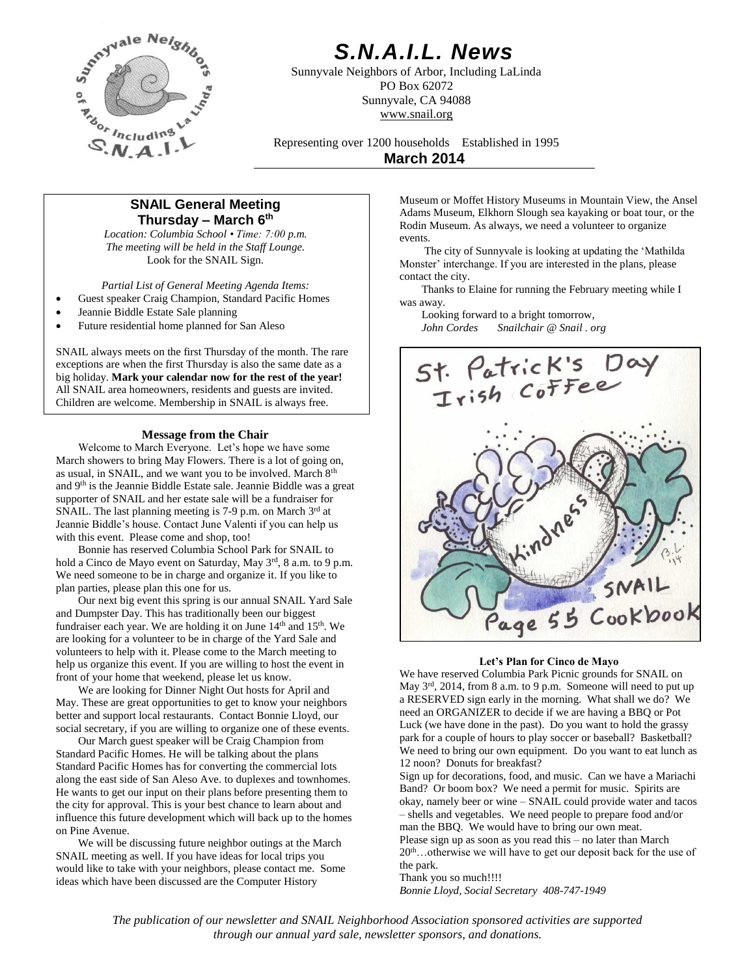

# *S.N.A.I.L. News*

Sunnyvale Neighbors of Arbor, Including LaLinda PO Box 62072 Sunnyvale, CA 94088 www.snail.org

Representing over 1200 households Established in 1995 **March 2014**

# **SNAIL General Meeting Thursday – March 6 th**

*Location: Columbia School • Time: 7:00 p.m. The meeting will be held in the Staff Lounge.* Look for the SNAIL Sign.

*Partial List of General Meeting Agenda Items:*

- Guest speaker Craig Champion, Standard Pacific Homes
- Jeannie Biddle Estate Sale planning
- Future residential home planned for San Aleso

SNAIL always meets on the first Thursday of the month. The rare exceptions are when the first Thursday is also the same date as a big holiday. **Mark your calendar now for the rest of the year!** All SNAIL area homeowners, residents and guests are invited. Children are welcome. Membership in SNAIL is always free.

## **Message from the Chair**

Welcome to March Everyone. Let's hope we have some March showers to bring May Flowers. There is a lot of going on, as usual, in SNAIL, and we want you to be involved. March 8<sup>th</sup> and 9th is the Jeannie Biddle Estate sale. Jeannie Biddle was a great supporter of SNAIL and her estate sale will be a fundraiser for SNAIL. The last planning meeting is 7-9 p.m. on March 3rd at Jeannie Biddle's house. Contact June Valenti if you can help us with this event. Please come and shop, too!

Bonnie has reserved Columbia School Park for SNAIL to hold a Cinco de Mayo event on Saturday, May 3rd, 8 a.m. to 9 p.m. We need someone to be in charge and organize it. If you like to plan parties, please plan this one for us.

Our next big event this spring is our annual SNAIL Yard Sale and Dumpster Day. This has traditionally been our biggest fundraiser each year. We are holding it on June  $14<sup>th</sup>$  and  $15<sup>th</sup>$ . We are looking for a volunteer to be in charge of the Yard Sale and volunteers to help with it. Please come to the March meeting to help us organize this event. If you are willing to host the event in front of your home that weekend, please let us know.

We are looking for Dinner Night Out hosts for April and May. These are great opportunities to get to know your neighbors better and support local restaurants. Contact Bonnie Lloyd, our social secretary, if you are willing to organize one of these events.

Our March guest speaker will be Craig Champion from Standard Pacific Homes. He will be talking about the plans Standard Pacific Homes has for converting the commercial lots along the east side of San Aleso Ave. to duplexes and townhomes. He wants to get our input on their plans before presenting them to the city for approval. This is your best chance to learn about and influence this future development which will back up to the homes on Pine Avenue.

We will be discussing future neighbor outings at the March SNAIL meeting as well. If you have ideas for local trips you would like to take with your neighbors, please contact me. Some ideas which have been discussed are the Computer History

Museum or Moffet History Museums in Mountain View, the Ansel Adams Museum, Elkhorn Slough sea kayaking or boat tour, or the Rodin Museum. As always, we need a volunteer to organize events.

The city of Sunnyvale is looking at updating the 'Mathilda Monster' interchange. If you are interested in the plans, please contact the city.

Thanks to Elaine for running the February meeting while I was away.

Looking forward to a bright tomorrow,<br>John Cordes Snailchair @ Snail.o *John Cordes Snailchair @ Snail . org*



#### **Let's Plan for Cinco de Mayo**

We have reserved Columbia Park Picnic grounds for SNAIL on May  $3<sup>rd</sup>$ , 2014, from 8 a.m. to 9 p.m. Someone will need to put up a RESERVED sign early in the morning. What shall we do? We need an ORGANIZER to decide if we are having a BBQ or Pot Luck (we have done in the past). Do you want to hold the grassy park for a couple of hours to play soccer or baseball? Basketball? We need to bring our own equipment. Do you want to eat lunch as 12 noon? Donuts for breakfast?

Sign up for decorations, food, and music. Can we have a Mariachi Band? Or boom box? We need a permit for music. Spirits are okay, namely beer or wine – SNAIL could provide water and tacos – shells and vegetables. We need people to prepare food and/or man the BBQ. We would have to bring our own meat. Please sign up as soon as you read this – no later than March

20<sup>th</sup>…otherwise we will have to get our deposit back for the use of the park.

Thank you so much!!!! *Bonnie Lloyd, Social Secretary 408-747-1949*

*The publication of our newsletter and SNAIL Neighborhood Association sponsored activities are supported through our annual yard sale, newsletter sponsors, and donations.*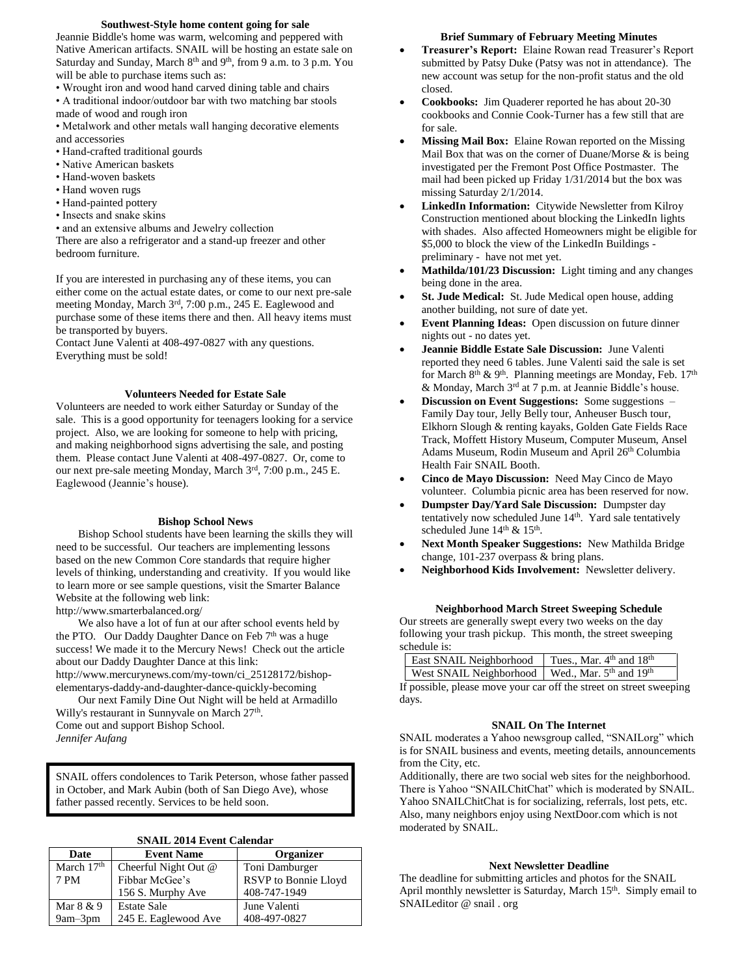# **Southwest-Style home content going for sale**

Jeannie Biddle's home was warm, welcoming and peppered with Native American artifacts. SNAIL will be hosting an estate sale on Saturday and Sunday, March 8<sup>th</sup> and 9<sup>th</sup>, from 9 a.m. to 3 p.m. You will be able to purchase items such as:

- Wrought iron and wood hand carved dining table and chairs
- A traditional indoor/outdoor bar with two matching bar stools made of wood and rough iron
- Metalwork and other metals wall hanging decorative elements and accessories
- Hand-crafted traditional gourds
- Native American baskets
- Hand-woven baskets
- Hand woven rugs
- Hand-painted pottery
- Insects and snake skins
- and an extensive albums and Jewelry collection

There are also a refrigerator and a stand-up freezer and other bedroom furniture.

If you are interested in purchasing any of these items, you can either come on the actual estate dates, or come to our next pre-sale meeting Monday, March 3rd, 7:00 p.m., 245 E. Eaglewood and purchase some of these items there and then. All heavy items must be transported by buyers.

Contact June Valenti at 408-497-0827 with any questions. Everything must be sold!

#### **Volunteers Needed for Estate Sale**

Volunteers are needed to work either Saturday or Sunday of the sale. This is a good opportunity for teenagers looking for a service project. Also, we are looking for someone to help with pricing, and making neighborhood signs advertising the sale, and posting them. Please contact June Valenti at 408-497-0827. Or, come to our next pre-sale meeting Monday, March 3rd, 7:00 p.m., 245 E. Eaglewood (Jeannie's house).

#### **Bishop School News**

Bishop School students have been learning the skills they will need to be successful. Our teachers are implementing lessons based on the new Common Core standards that require higher levels of thinking, understanding and creativity. If you would like to learn more or see sample questions, visit the Smarter Balance Website at the following web link:

http://www.smarterbalanced.org/

We also have a lot of fun at our after school events held by the PTO. Our Daddy Daughter Dance on Feb 7<sup>th</sup> was a huge success! We made it to the Mercury News! Check out the article about our Daddy Daughter Dance at this link: http://www.mercurynews.com/my-town/ci\_25128172/bishopelementarys-daddy-and-daughter-dance-quickly-becoming

Our next Family Dine Out Night will be held at Armadillo Willy's restaurant in Sunnyvale on March 27<sup>th</sup>. Come out and support Bishop School. *Jennifer Aufang*

SNAIL offers condolences to Tarik Peterson, whose father passed in October, and Mark Aubin (both of San Diego Ave), whose father passed recently. Services to be held soon.

|  |  |  | <b>SNAIL 2014 Event Calendar</b> |
|--|--|--|----------------------------------|
|--|--|--|----------------------------------|

| Date         | <b>Event Name</b>    | Organizer                   |  |
|--------------|----------------------|-----------------------------|--|
| March $17th$ | Cheerful Night Out @ | Toni Damburger              |  |
| 7 PM         | Fibbar McGee's       | <b>RSVP</b> to Bonnie Lloyd |  |
|              | 156 S. Murphy Ave    | 408-747-1949                |  |
| Mar 8 & 9    | <b>Estate Sale</b>   | June Valenti                |  |
| $9am-3pm$    | 245 E. Eaglewood Ave | 408-497-0827                |  |

#### **Brief Summary of February Meeting Minutes**

- **Treasurer's Report:** Elaine Rowan read Treasurer's Report submitted by Patsy Duke (Patsy was not in attendance). The new account was setup for the non-profit status and the old closed.
- **Cookbooks:** Jim Quaderer reported he has about 20-30 cookbooks and Connie Cook-Turner has a few still that are for sale.
- **Missing Mail Box:** Elaine Rowan reported on the Missing Mail Box that was on the corner of Duane/Morse & is being investigated per the Fremont Post Office Postmaster. The mail had been picked up Friday 1/31/2014 but the box was missing Saturday 2/1/2014.
- **LinkedIn Information:** Citywide Newsletter from Kilroy Construction mentioned about blocking the LinkedIn lights with shades. Also affected Homeowners might be eligible for \$5,000 to block the view of the LinkedIn Buildings preliminary - have not met yet.
- **Mathilda/101/23 Discussion:** Light timing and any changes being done in the area.
- **St. Jude Medical:** St. Jude Medical open house, adding another building, not sure of date yet.
- **Event Planning Ideas:** Open discussion on future dinner nights out - no dates yet.
- **Jeannie Biddle Estate Sale Discussion:** June Valenti reported they need 6 tables. June Valenti said the sale is set for March 8<sup>th</sup> & 9<sup>th</sup>. Planning meetings are Monday, Feb. 17<sup>th</sup> & Monday, March 3<sup>rd</sup> at 7 p.m. at Jeannie Biddle's house.
- **Discussion on Event Suggestions:** Some suggestions Family Day tour, Jelly Belly tour, Anheuser Busch tour, Elkhorn Slough & renting kayaks, Golden Gate Fields Race Track, Moffett History Museum, Computer Museum, Ansel Adams Museum, Rodin Museum and April 26<sup>th</sup> Columbia Health Fair SNAIL Booth.
- **Cinco de Mayo Discussion:** Need May Cinco de Mayo volunteer. Columbia picnic area has been reserved for now.
- **Dumpster Day/Yard Sale Discussion:** Dumpster day tentatively now scheduled June 14<sup>th</sup>. Yard sale tentatively scheduled June 14<sup>th</sup> & 15<sup>th</sup>.
- **Next Month Speaker Suggestions:** New Mathilda Bridge change, 101-237 overpass & bring plans.
- **Neighborhood Kids Involvement:** Newsletter delivery.

### **Neighborhood March Street Sweeping Schedule**

Our streets are generally swept every two weeks on the day following your trash pickup. This month, the street sweeping schedule is:

| East SNAIL Neighborhood   Tues., Mar. 4th and 18th |  |
|----------------------------------------------------|--|
| West SNAIL Neighborhood   Wed., Mar. 5th and 19th  |  |

If possible, please move your car off the street on street sweeping days.

#### **SNAIL On The Internet**

SNAIL moderates a Yahoo newsgroup called, "SNAILorg" which is for SNAIL business and events, meeting details, announcements from the City, etc.

Additionally, there are two social web sites for the neighborhood. There is Yahoo "SNAILChitChat" which is moderated by SNAIL. Yahoo SNAILChitChat is for socializing, referrals, lost pets, etc. Also, many neighbors enjoy using NextDoor.com which is not moderated by SNAIL.

### **Next Newsletter Deadline**

The deadline for submitting articles and photos for the SNAIL April monthly newsletter is Saturday, March 15<sup>th</sup>. Simply email to SNAILeditor @ snail . org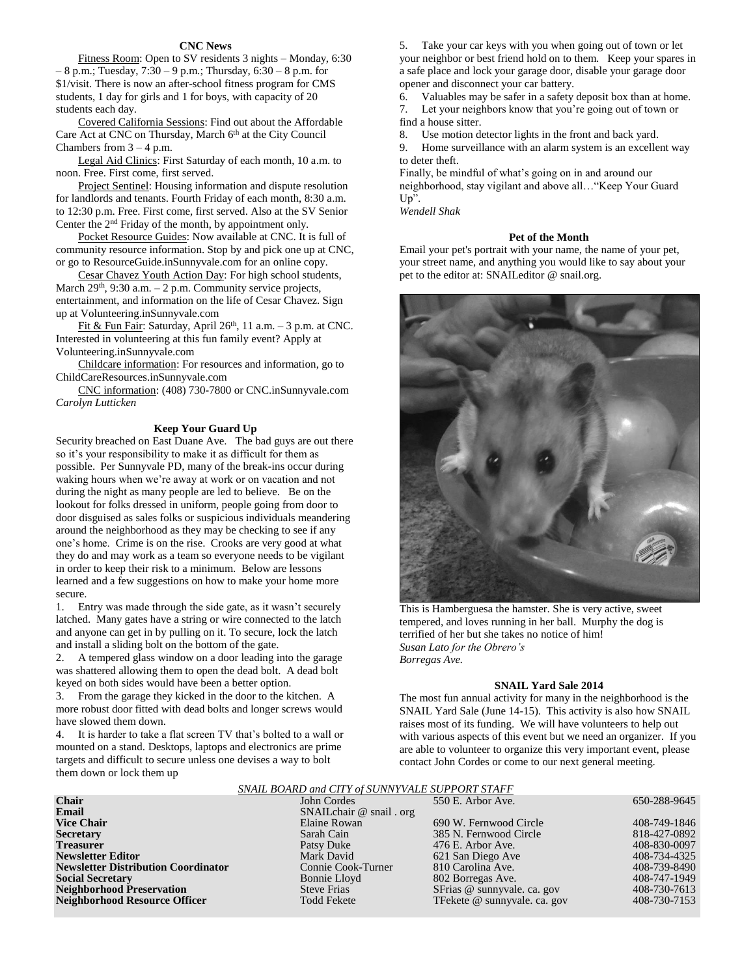### **CNC News**

Fitness Room: Open to SV residents 3 nights – Monday, 6:30 – 8 p.m.; Tuesday, 7:30 – 9 p.m.; Thursday, 6:30 – 8 p.m. for \$1/visit. There is now an after-school fitness program for CMS students, 1 day for girls and 1 for boys, with capacity of 20 students each day.

Covered California Sessions: Find out about the Affordable Care Act at CNC on Thursday, March 6<sup>th</sup> at the City Council Chambers from  $3 - 4$  p.m.

Legal Aid Clinics: First Saturday of each month, 10 a.m. to noon. Free. First come, first served.

Project Sentinel: Housing information and dispute resolution for landlords and tenants. Fourth Friday of each month, 8:30 a.m. to 12:30 p.m. Free. First come, first served. Also at the SV Senior Center the 2nd Friday of the month, by appointment only.

Pocket Resource Guides: Now available at CNC. It is full of community resource information. Stop by and pick one up at CNC, or go to ResourceGuide.inSunnyvale.com for an online copy.

Cesar Chavez Youth Action Day: For high school students, March  $29<sup>th</sup>$ ,  $9:30$  a.m.  $-2$  p.m. Community service projects, entertainment, and information on the life of Cesar Chavez. Sign up at Volunteering.inSunnyvale.com

Fit & Fun Fair: Saturday, April 26<sup>th</sup>, 11 a.m.  $-3$  p.m. at CNC. Interested in volunteering at this fun family event? Apply at Volunteering.inSunnyvale.com

Childcare information: For resources and information, go to ChildCareResources.inSunnyvale.com

CNC information: (408) 730-7800 or CNC.inSunnyvale.com *Carolyn Lutticken*

#### **Keep Your Guard Up**

Security breached on East Duane Ave. The bad guys are out there so it's your responsibility to make it as difficult for them as possible. Per Sunnyvale PD, many of the break-ins occur during waking hours when we're away at work or on vacation and not during the night as many people are led to believe. Be on the lookout for folks dressed in uniform, people going from door to door disguised as sales folks or suspicious individuals meandering around the neighborhood as they may be checking to see if any one's home. Crime is on the rise. Crooks are very good at what they do and may work as a team so everyone needs to be vigilant in order to keep their risk to a minimum. Below are lessons learned and a few suggestions on how to make your home more secure.

1. Entry was made through the side gate, as it wasn't securely latched. Many gates have a string or wire connected to the latch and anyone can get in by pulling on it. To secure, lock the latch and install a sliding bolt on the bottom of the gate.

2. A tempered glass window on a door leading into the garage was shattered allowing them to open the dead bolt. A dead bolt keyed on both sides would have been a better option.

3. From the garage they kicked in the door to the kitchen. A more robust door fitted with dead bolts and longer screws would have slowed them down.

4. It is harder to take a flat screen TV that's bolted to a wall or mounted on a stand. Desktops, laptops and electronics are prime targets and difficult to secure unless one devises a way to bolt them down or lock them up

5. Take your car keys with you when going out of town or let your neighbor or best friend hold on to them. Keep your spares in a safe place and lock your garage door, disable your garage door opener and disconnect your car battery.

6. Valuables may be safer in a safety deposit box than at home.

7. Let your neighbors know that you're going out of town or find a house sitter.

8. Use motion detector lights in the front and back yard.

9. Home surveillance with an alarm system is an excellent way to deter theft.

Finally, be mindful of what's going on in and around our neighborhood, stay vigilant and above all…"Keep Your Guard Up".

*Wendell Shak*

# **Pet of the Month**

Email your pet's portrait with your name, the name of your pet, your street name, and anything you would like to say about your pet to the editor at: SNAILeditor @ snail.org.



This is Hamberguesa the hamster. She is very active, sweet tempered, and loves running in her ball. Murphy the dog is terrified of her but she takes no notice of him! *Susan Lato for the Obrero's Borregas Ave.*

#### **SNAIL Yard Sale 2014**

The most fun annual activity for many in the neighborhood is the SNAIL Yard Sale (June 14-15). This activity is also how SNAIL raises most of its funding. We will have volunteers to help out with various aspects of this event but we need an organizer. If you are able to volunteer to organize this very important event, please contact John Cordes or come to our next general meeting.

### *SNAIL BOARD and CITY of SUNNYVALE SUPPORT STAFF*

| <b>Chair</b>                               | John Cordes               | 550 E. Arbor Ave.            | 650-288-9645 |  |  |  |
|--------------------------------------------|---------------------------|------------------------------|--------------|--|--|--|
| Email                                      | SNAIL chair $@$ snail org |                              |              |  |  |  |
| <b>Vice Chair</b>                          | Elaine Rowan              | 690 W. Fernwood Circle       | 408-749-1846 |  |  |  |
| <b>Secretary</b>                           | Sarah Cain                | 385 N. Fernwood Circle       | 818-427-0892 |  |  |  |
| <b>Treasurer</b>                           | Patsy Duke                | 476 E. Arbor Ave.            | 408-830-0097 |  |  |  |
| <b>Newsletter Editor</b>                   | Mark David                | 621 San Diego Ave            | 408-734-4325 |  |  |  |
| <b>Newsletter Distribution Coordinator</b> | Connie Cook-Turner        | 810 Carolina Ave.            | 408-739-8490 |  |  |  |
| <b>Social Secretary</b>                    | Bonnie Lloyd              | 802 Borregas Ave.            | 408-747-1949 |  |  |  |
| <b>Neighborhood Preservation</b>           | <b>Steve Frias</b>        | SFrias @ sunnyvale. ca. gov  | 408-730-7613 |  |  |  |
| <b>Neighborhood Resource Officer</b>       | <b>Todd Fekete</b>        | TFekete @ sunnyvale. ca. gov | 408-730-7153 |  |  |  |
|                                            |                           |                              |              |  |  |  |